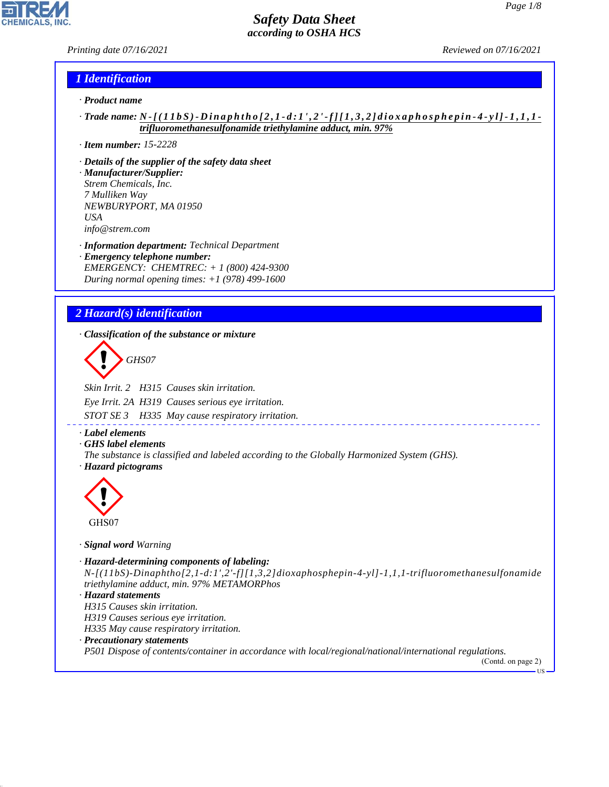*Printing date 07/16/2021 Reviewed on 07/16/2021*

### *1 Identification*

- *· Product name*
- *· Trade name: N [ ( 1 1 b S ) D i n a p h t h o [ 2 , 1 d : 1 ' , 2 ' f ] [ 1 , 3 , 2 ] d i o x a p h o s p h e p i n 4 y l ] 1 , 1 , 1 trifluoromethanesulfonamide triethylamine adduct, min. 97%*
- *· Item number: 15-2228*
- *· Details of the supplier of the safety data sheet*
- *· Manufacturer/Supplier: Strem Chemicals, Inc. 7 Mulliken Way NEWBURYPORT, MA 01950 USA info@strem.com*
- *· Information department: Technical Department · Emergency telephone number: EMERGENCY: CHEMTREC: + 1 (800) 424-9300 During normal opening times: +1 (978) 499-1600*

## *2 Hazard(s) identification*

*· Classification of the substance or mixture*

d~*GHS07*

*Skin Irrit. 2 H315 Causes skin irritation. Eye Irrit. 2A H319 Causes serious eye irritation. STOT SE 3 H335 May cause respiratory irritation.*

*· Label elements*

*· GHS label elements*

*The substance is classified and labeled according to the Globally Harmonized System (GHS). · Hazard pictograms*



44.1.1

#### *· Signal word Warning*

- *· Hazard-determining components of labeling: N-[(11bS)-Dinaphtho[2,1-d:1',2'-f][1,3,2]dioxaphosphepin-4-yl]-1,1,1-trifluoromethanesulfonamide triethylamine adduct, min. 97% METAMORPhos*
- *· Hazard statements H315 Causes skin irritation. H319 Causes serious eye irritation. H335 May cause respiratory irritation. · Precautionary statements*

*P501 Dispose of contents/container in accordance with local/regional/national/international regulations.*

(Contd. on page 2) US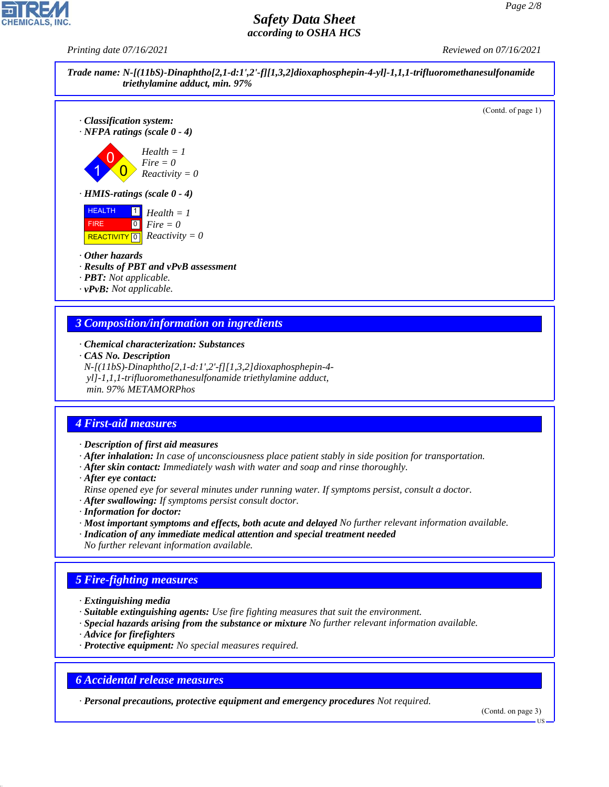*Printing date 07/16/2021 Reviewed on 07/16/2021*









#### *· Other hazards*

- *· Results of PBT and vPvB assessment*
- *· PBT: Not applicable.*
- *· vPvB: Not applicable.*

## *3 Composition/information on ingredients*

- *· Chemical characterization: Substances*
- *· CAS No. Description*
- *N-[(11bS)-Dinaphtho[2,1-d:1',2'-f][1,3,2]dioxaphosphepin-4 yl]-1,1,1-trifluoromethanesulfonamide triethylamine adduct,*
- *min. 97% METAMORPhos*

### *4 First-aid measures*

- *· Description of first aid measures*
- *· After inhalation: In case of unconsciousness place patient stably in side position for transportation.*
- *· After skin contact: Immediately wash with water and soap and rinse thoroughly.*
- *· After eye contact:*
- *Rinse opened eye for several minutes under running water. If symptoms persist, consult a doctor.*
- *· After swallowing: If symptoms persist consult doctor.*
- *· Information for doctor:*
- *· Most important symptoms and effects, both acute and delayed No further relevant information available.*
- *· Indication of any immediate medical attention and special treatment needed*
- *No further relevant information available.*

## *5 Fire-fighting measures*

- *· Extinguishing media*
- *· Suitable extinguishing agents: Use fire fighting measures that suit the environment.*
- *· Special hazards arising from the substance or mixture No further relevant information available.*
- *· Advice for firefighters*

44.1.1

*· Protective equipment: No special measures required.*

## *6 Accidental release measures*

*· Personal precautions, protective equipment and emergency procedures Not required.*

(Contd. on page 3)

US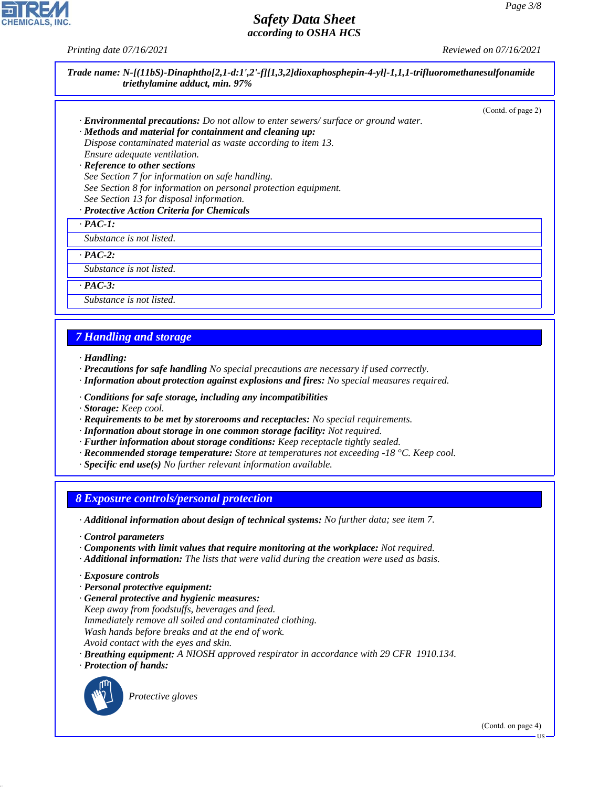**CHEMICALS, INC.** 

*Printing date 07/16/2021 Reviewed on 07/16/2021*

|                                                                                                                                                                                                                                                                                                                                                                                                                                                                                                                                                                                                                                                                                                                                                                   | (Contd. of page 2) |
|-------------------------------------------------------------------------------------------------------------------------------------------------------------------------------------------------------------------------------------------------------------------------------------------------------------------------------------------------------------------------------------------------------------------------------------------------------------------------------------------------------------------------------------------------------------------------------------------------------------------------------------------------------------------------------------------------------------------------------------------------------------------|--------------------|
| <b>Environmental precautions:</b> Do not allow to enter sewers/surface or ground water.                                                                                                                                                                                                                                                                                                                                                                                                                                                                                                                                                                                                                                                                           |                    |
| · Methods and material for containment and cleaning up:<br>Dispose contaminated material as waste according to item 13.                                                                                                                                                                                                                                                                                                                                                                                                                                                                                                                                                                                                                                           |                    |
| Ensure adequate ventilation.                                                                                                                                                                                                                                                                                                                                                                                                                                                                                                                                                                                                                                                                                                                                      |                    |
| · Reference to other sections                                                                                                                                                                                                                                                                                                                                                                                                                                                                                                                                                                                                                                                                                                                                     |                    |
| See Section 7 for information on safe handling.                                                                                                                                                                                                                                                                                                                                                                                                                                                                                                                                                                                                                                                                                                                   |                    |
| See Section 8 for information on personal protection equipment.                                                                                                                                                                                                                                                                                                                                                                                                                                                                                                                                                                                                                                                                                                   |                    |
| See Section 13 for disposal information.                                                                                                                                                                                                                                                                                                                                                                                                                                                                                                                                                                                                                                                                                                                          |                    |
| · Protective Action Criteria for Chemicals<br>$\cdot$ PAC-1:                                                                                                                                                                                                                                                                                                                                                                                                                                                                                                                                                                                                                                                                                                      |                    |
| Substance is not listed.                                                                                                                                                                                                                                                                                                                                                                                                                                                                                                                                                                                                                                                                                                                                          |                    |
|                                                                                                                                                                                                                                                                                                                                                                                                                                                                                                                                                                                                                                                                                                                                                                   |                    |
| $\cdot$ PAC-2:<br>Substance is not listed.                                                                                                                                                                                                                                                                                                                                                                                                                                                                                                                                                                                                                                                                                                                        |                    |
|                                                                                                                                                                                                                                                                                                                                                                                                                                                                                                                                                                                                                                                                                                                                                                   |                    |
| $\cdot$ PAC-3:<br>Substance is not listed.                                                                                                                                                                                                                                                                                                                                                                                                                                                                                                                                                                                                                                                                                                                        |                    |
|                                                                                                                                                                                                                                                                                                                                                                                                                                                                                                                                                                                                                                                                                                                                                                   |                    |
|                                                                                                                                                                                                                                                                                                                                                                                                                                                                                                                                                                                                                                                                                                                                                                   |                    |
|                                                                                                                                                                                                                                                                                                                                                                                                                                                                                                                                                                                                                                                                                                                                                                   |                    |
|                                                                                                                                                                                                                                                                                                                                                                                                                                                                                                                                                                                                                                                                                                                                                                   |                    |
|                                                                                                                                                                                                                                                                                                                                                                                                                                                                                                                                                                                                                                                                                                                                                                   |                    |
|                                                                                                                                                                                                                                                                                                                                                                                                                                                                                                                                                                                                                                                                                                                                                                   |                    |
|                                                                                                                                                                                                                                                                                                                                                                                                                                                                                                                                                                                                                                                                                                                                                                   |                    |
|                                                                                                                                                                                                                                                                                                                                                                                                                                                                                                                                                                                                                                                                                                                                                                   |                    |
| <b>7 Handling and storage</b><br>· Handling:<br>· Precautions for safe handling No special precautions are necessary if used correctly.<br>· Information about protection against explosions and fires: No special measures required.<br>· Conditions for safe storage, including any incompatibilities<br>· Storage: Keep cool.<br>· Requirements to be met by storerooms and receptacles: No special requirements.<br>· Information about storage in one common storage facility: Not required.<br>· Further information about storage conditions: Keep receptacle tightly sealed.<br>$\cdot$ Recommended storage temperature: Store at temperatures not exceeding -18 °C. Keep cool.<br>$\cdot$ Specific end use(s) No further relevant information available. |                    |
|                                                                                                                                                                                                                                                                                                                                                                                                                                                                                                                                                                                                                                                                                                                                                                   |                    |
|                                                                                                                                                                                                                                                                                                                                                                                                                                                                                                                                                                                                                                                                                                                                                                   |                    |
| <b>8 Exposure controls/personal protection</b><br>· Additional information about design of technical systems: No further data; see item 7.                                                                                                                                                                                                                                                                                                                                                                                                                                                                                                                                                                                                                        |                    |
| Control parameters                                                                                                                                                                                                                                                                                                                                                                                                                                                                                                                                                                                                                                                                                                                                                |                    |

- *· Exposure controls*
- *· Personal protective equipment:*
- *· General protective and hygienic measures: Keep away from foodstuffs, beverages and feed. Immediately remove all soiled and contaminated clothing. Wash hands before breaks and at the end of work. Avoid contact with the eyes and skin.*
- *· Breathing equipment: A NIOSH approved respirator in accordance with 29 CFR 1910.134.*
- *· Protection of hands:*



44.1.1

\_S*Protective gloves*

(Contd. on page 4)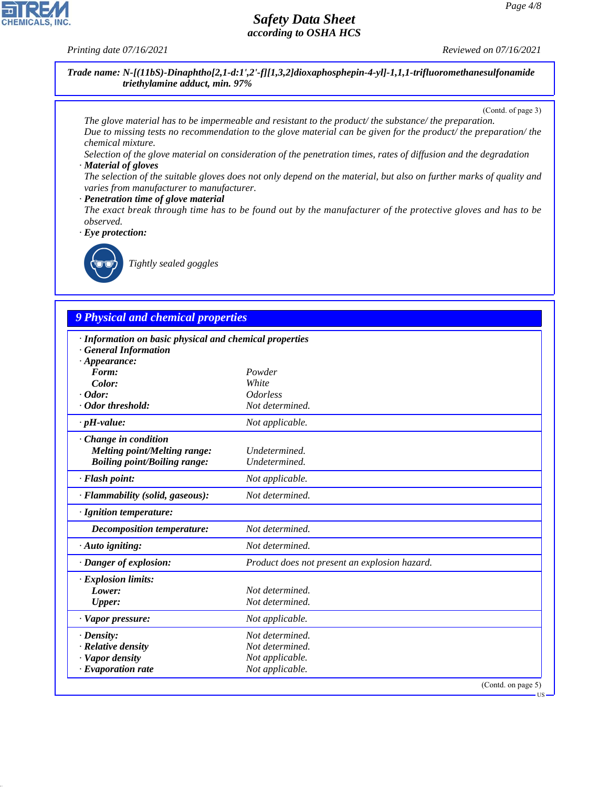*Printing date 07/16/2021 Reviewed on 07/16/2021*

**CHEMICALS, INC** 

*Trade name: N-[(11bS)-Dinaphtho[2,1-d:1',2'-f][1,3,2]dioxaphosphepin-4-yl]-1,1,1-trifluoromethanesulfonamide triethylamine adduct, min. 97%*

(Contd. of page 3)

*The glove material has to be impermeable and resistant to the product/ the substance/ the preparation. Due to missing tests no recommendation to the glove material can be given for the product/ the preparation/ the chemical mixture.*

*Selection of the glove material on consideration of the penetration times, rates of diffusion and the degradation · Material of gloves*

*The selection of the suitable gloves does not only depend on the material, but also on further marks of quality and varies from manufacturer to manufacturer.*

#### *· Penetration time of glove material*

*The exact break through time has to be found out by the manufacturer of the protective gloves and has to be observed.*

*· Eye protection:*



44.1.1

\_R*Tightly sealed goggles*

# *9 Physical and chemical properties*

| · Information on basic physical and chemical properties<br><b>General Information</b> |                                               |                    |
|---------------------------------------------------------------------------------------|-----------------------------------------------|--------------------|
| $\cdot$ Appearance:                                                                   |                                               |                    |
| Form:                                                                                 | Powder                                        |                    |
| Color:                                                                                | White                                         |                    |
| $\cdot$ Odor:                                                                         | <i><b>Odorless</b></i>                        |                    |
| · Odor threshold:                                                                     | Not determined.                               |                    |
| $\cdot$ pH-value:                                                                     | Not applicable.                               |                    |
| Change in condition                                                                   |                                               |                    |
| <b>Melting point/Melting range:</b>                                                   | Undetermined.                                 |                    |
| <b>Boiling point/Boiling range:</b>                                                   | Undetermined.                                 |                    |
| · Flash point:                                                                        | Not applicable.                               |                    |
| · Flammability (solid, gaseous):                                                      | Not determined.                               |                    |
| · Ignition temperature:                                                               |                                               |                    |
| Decomposition temperature:                                                            | Not determined.                               |                    |
| $\cdot$ Auto igniting:                                                                | Not determined.                               |                    |
| · Danger of explosion:                                                                | Product does not present an explosion hazard. |                    |
| · Explosion limits:                                                                   |                                               |                    |
| Lower:                                                                                | Not determined.                               |                    |
| Upper:                                                                                | Not determined.                               |                    |
| · Vapor pressure:                                                                     | Not applicable.                               |                    |
| $\cdot$ Density:                                                                      | Not determined.                               |                    |
| · Relative density                                                                    | Not determined.                               |                    |
| · Vapor density                                                                       | Not applicable.                               |                    |
| $\cdot$ Evaporation rate                                                              | Not applicable.                               |                    |
|                                                                                       |                                               | (Contd. on page 5) |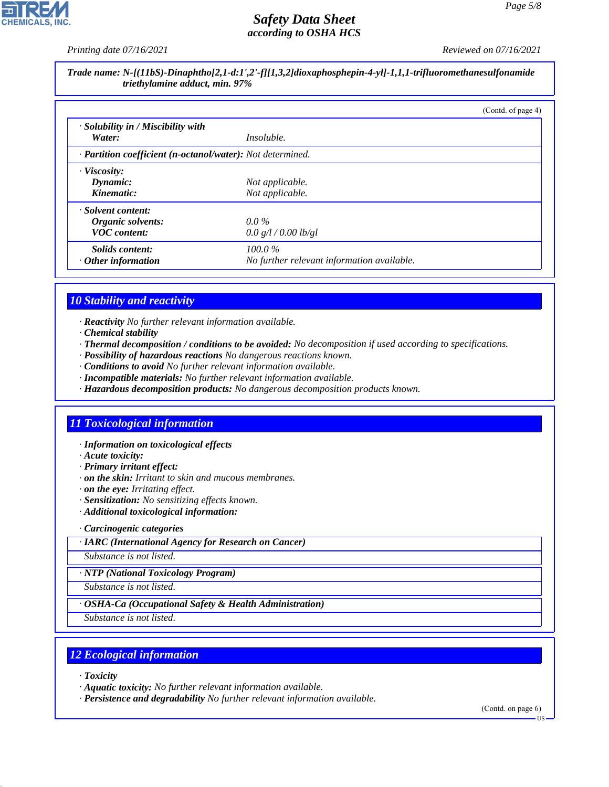**CHEMICALS, INC** 

*Printing date 07/16/2021 Reviewed on 07/16/2021*

*Trade name: N-[(11bS)-Dinaphtho[2,1-d:1',2'-f][1,3,2]dioxaphosphepin-4-yl]-1,1,1-trifluoromethanesulfonamide triethylamine adduct, min. 97%*

|                                                            |                                            | (Contd. of page 4) |
|------------------------------------------------------------|--------------------------------------------|--------------------|
| $\cdot$ Solubility in / Miscibility with                   |                                            |                    |
| Water:                                                     | <i>Insoluble.</i>                          |                    |
| · Partition coefficient (n-octanol/water): Not determined. |                                            |                    |
| $\cdot$ Viscosity:                                         |                                            |                    |
| Dynamic:                                                   | Not applicable.                            |                    |
| Kinematic:                                                 | Not applicable.                            |                    |
| · Solvent content:                                         |                                            |                    |
| Organic solvents:                                          | $0.0\%$                                    |                    |
| <b>VOC</b> content:                                        | 0.0 g/l / 0.00 lb/gl                       |                    |
| Solids content:                                            | $100.0\%$                                  |                    |
| $\cdot$ Other information                                  | No further relevant information available. |                    |

## *10 Stability and reactivity*

*· Reactivity No further relevant information available.*

- *· Chemical stability*
- *· Thermal decomposition / conditions to be avoided: No decomposition if used according to specifications.*
- *· Possibility of hazardous reactions No dangerous reactions known.*
- *· Conditions to avoid No further relevant information available.*
- *· Incompatible materials: No further relevant information available.*
- *· Hazardous decomposition products: No dangerous decomposition products known.*

## *11 Toxicological information*

- *· Information on toxicological effects*
- *· Acute toxicity:*
- *· Primary irritant effect:*
- *· on the skin: Irritant to skin and mucous membranes.*
- *· on the eye: Irritating effect.*
- *· Sensitization: No sensitizing effects known.*
- *· Additional toxicological information:*
- *· Carcinogenic categories*
- *· IARC (International Agency for Research on Cancer)*

*Substance is not listed.*

*· NTP (National Toxicology Program)*

*Substance is not listed.*

*· OSHA-Ca (Occupational Safety & Health Administration)*

*Substance is not listed.*

# *12 Ecological information*

*· Toxicity*

44.1.1

- *· Aquatic toxicity: No further relevant information available.*
- *· Persistence and degradability No further relevant information available.*

(Contd. on page 6)

**TIS**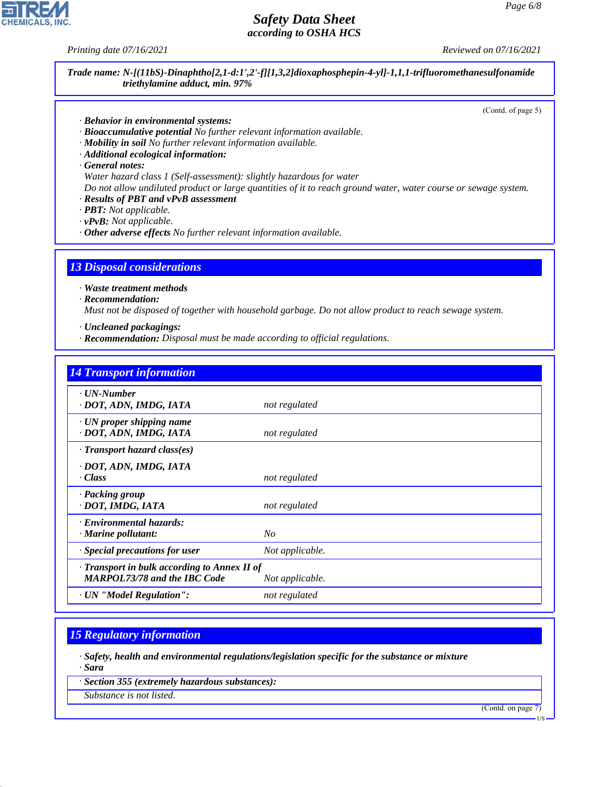*Printing date 07/16/2021 Reviewed on 07/16/2021*

*Trade name: N-[(11bS)-Dinaphtho[2,1-d:1',2'-f][1,3,2]dioxaphosphepin-4-yl]-1,1,1-trifluoromethanesulfonamide triethylamine adduct, min. 97%*

(Contd. of page 5)

- *· Behavior in environmental systems:*
- *· Bioaccumulative potential No further relevant information available.*
- *· Mobility in soil No further relevant information available.*
- *· Additional ecological information:*
- *· General notes:*
- *Water hazard class 1 (Self-assessment): slightly hazardous for water*

*Do not allow undiluted product or large quantities of it to reach ground water, water course or sewage system. · Results of PBT and vPvB assessment*

- *· PBT: Not applicable.*
- *· vPvB: Not applicable.*
- *· Other adverse effects No further relevant information available.*

### *13 Disposal considerations*

*· Waste treatment methods*

*· Recommendation:*

*Must not be disposed of together with household garbage. Do not allow product to reach sewage system.*

- *· Uncleaned packagings:*
- *· Recommendation: Disposal must be made according to official regulations.*

| <b>14 Transport information</b>                                                     |                 |
|-------------------------------------------------------------------------------------|-----------------|
| · UN-Number<br>· DOT, ADN, IMDG, IATA                                               | not regulated   |
| $\cdot$ UN proper shipping name                                                     |                 |
| · DOT, ADN, IMDG, IATA<br>$\cdot$ Transport hazard class(es)                        | not regulated   |
| · DOT, ADN, IMDG, IATA<br>· Class                                                   | not regulated   |
| · Packing group<br>· DOT, IMDG, IATA                                                | not regulated   |
| · Environmental hazards:<br>· Marine pollutant:                                     | No              |
| · Special precautions for user                                                      | Not applicable. |
| · Transport in bulk according to Annex II of<br><b>MARPOL73/78 and the IBC Code</b> | Not applicable. |
| · UN "Model Regulation":                                                            | not regulated   |

## *15 Regulatory information*

*· Safety, health and environmental regulations/legislation specific for the substance or mixture · Sara*

*· Section 355 (extremely hazardous substances):*

*Substance is not listed.*

44.1.1

(Contd. on page 7)

US

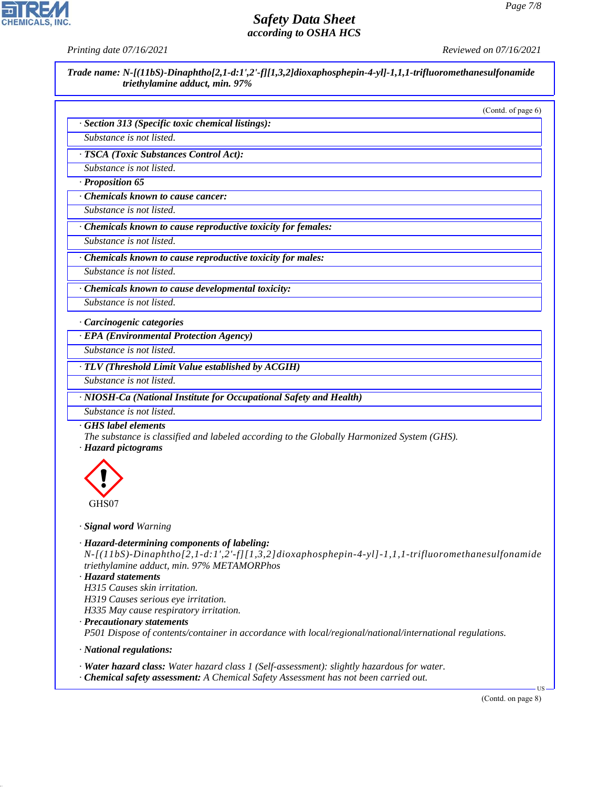*Printing date 07/16/2021 Reviewed on 07/16/2021*

*Trade name: N-[(11bS)-Dinaphtho[2,1-d:1',2'-f][1,3,2]dioxaphosphepin-4-yl]-1,1,1-trifluoromethanesulfonamide triethylamine adduct, min. 97%*

(Contd. of page 6)

|  |  | · Section 313 (Specific toxic chemical listings): |  |
|--|--|---------------------------------------------------|--|
|--|--|---------------------------------------------------|--|

*Substance is not listed.*

*· TSCA (Toxic Substances Control Act):*

*Substance is not listed.*

*· Proposition 65*

*· Chemicals known to cause cancer:*

*Substance is not listed.*

*· Chemicals known to cause reproductive toxicity for females:*

*Substance is not listed.*

*· Chemicals known to cause reproductive toxicity for males:*

*Substance is not listed.*

*· Chemicals known to cause developmental toxicity:*

*Substance is not listed.*

*· Carcinogenic categories*

*· EPA (Environmental Protection Agency)*

*Substance is not listed.*

*· TLV (Threshold Limit Value established by ACGIH)*

*Substance is not listed.*

*· NIOSH-Ca (National Institute for Occupational Safety and Health)*

*Substance is not listed.*

*· GHS label elements*

*The substance is classified and labeled according to the Globally Harmonized System (GHS). · Hazard pictograms*



#### *· Signal word Warning*

*· Hazard-determining components of labeling: N-[(11bS)-Dinaphtho[2,1-d:1',2'-f][1,3,2]dioxaphosphepin-4-yl]-1,1,1-trifluoromethanesulfonamide triethylamine adduct, min. 97% METAMORPhos*

*· Hazard statements H315 Causes skin irritation. H319 Causes serious eye irritation.*

*H335 May cause respiratory irritation.*

- *· Precautionary statements P501 Dispose of contents/container in accordance with local/regional/national/international regulations.*
- *· National regulations:*

44.1.1

*· Water hazard class: Water hazard class 1 (Self-assessment): slightly hazardous for water.*

*· Chemical safety assessment: A Chemical Safety Assessment has not been carried out.*

(Contd. on page 8)

US